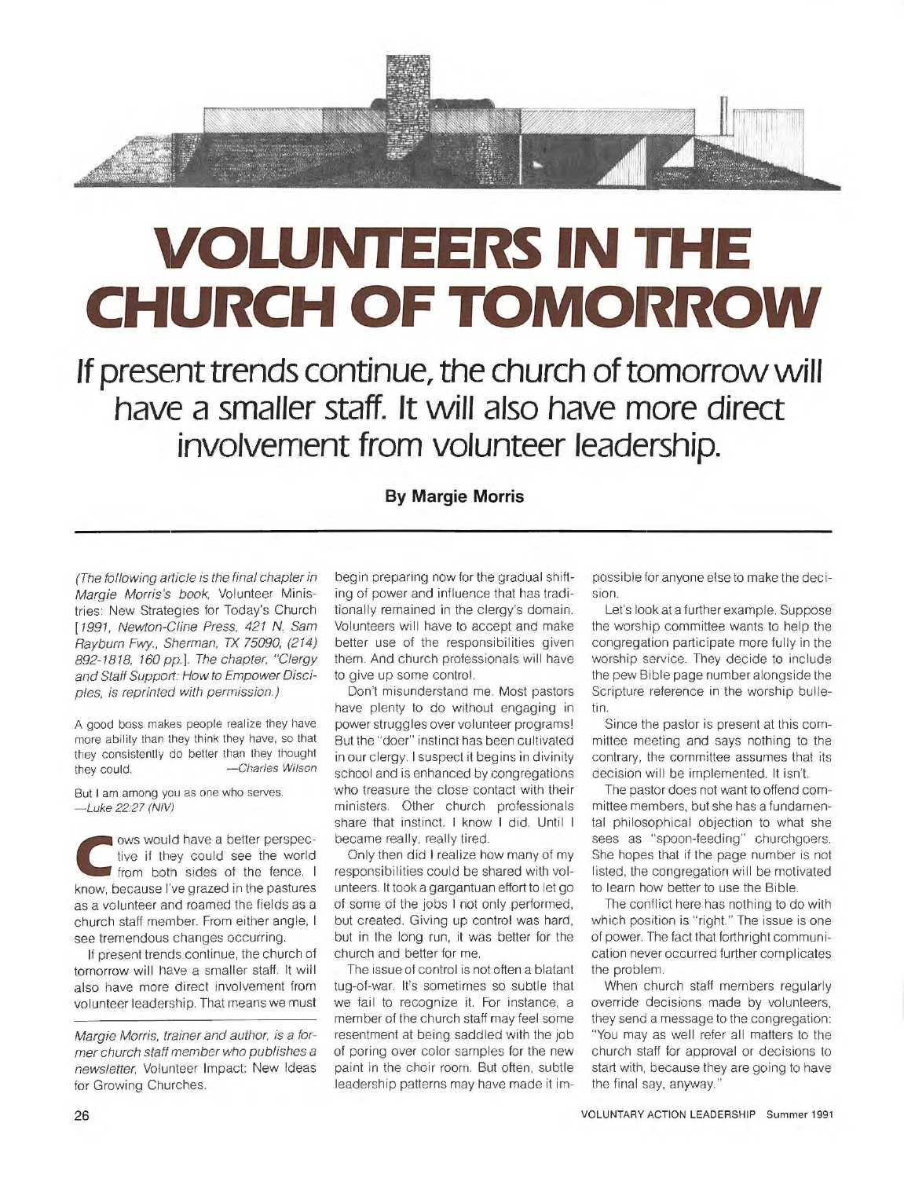

# **VOLUNTEERS IN THE CHURCH OF TOMORROW**

If present trends continue, the church of tomorrow will **have a smaller staff. It will also have more direct involvement from volunteer leadership.** 

## **By Margie Morris**

(The following article is the final chapter in Margie Morris's book, Volunteer Ministries: New Strategies for Today's Church [ 1991, Newton-Cline Press, 421 N. Sam Rayburn Fwy., Sherman, TX 75090, (214) 892-1818, 160 pp.]. The chapter, "Clergy and Staff Support: How to Empower Disciples, is reprinted with permission.)

A good boss makes people realize they have more ability than they think they have, so that they consistently do better than they thought they could. - Charles Wilson

But I am among you as one who serves. -Luke 22:27 (NIV)

ows would have a better perspective if they could see the world from both sides of the fence. I know. because I've grazed in the pastures as a volunteer and roamed the fields as a church staff member. From either angle. I see tremendous changes occurring.

If present trends continue. the church of tomorrow will have a smaller staff. It will also have more direct involvement from volunteer leadership. That means we must

Margie Morris, trainer and author, is a former church staff member who publishes a newsletter. Volunteer Impact: New Ideas for Growing Churches.

begin preparing now for the gradual shifting of power and influence that has traditionally remained in the clergy's domain. Volunteers will have to accept and make better use of the responsibilities given them. And church professionals will have to give up some control.

Don't misunderstand me. Most pastors have plenty to do without engaging in power struggles over volunteer programs' But the "doer" instinct has been cultivated in our clergy. I suspect it begins in divinity school and is enhanced by congregations who treasure the close contact with their ministers. Other church professionals share that instinct. I know I did. Until I became really, really tired.

Only then did I realize how many of my responsibilities could be shared with volunteers. It took a gargantuan effort to let go of some of the jobs I not only performed, but created. Giving up control was hard, but in the long run. it was better for the church and better for me.

The issue of control is not often a blatant tug-of-war. It's sometimes so subtle that we fail to recognize it. For instance, a member of the church staff may feel some resentment at being saddled with the job of poring over color samples for the new paint in the choir room. But often. subtle leadership patterns may have made it im-

possible for anyone else to make the decision.

Let's look at a further example. Suppose the worship committee wants to help the congregation participate more fully in the worship service. They decide to include the pew Bible page number alongside the Scripture reference in the worship bulletin.

Since the pastor is present at this committee meeting and says nothing to the contrary, the committee assumes that its decision will be implemented. It isn't.

The pastor does not want to offend committee members, but she has a fundamental philosophical objection to what she sees as "spoon-feeding" churchgoers. She hopes that if the page number is not listed, the congregation will be motivated to learn how better to use the Bible.

The conflict here has nothing to do with which position is "right." The issue is one of power. The fact that forthright communication never occurred further complicates the problem.

When church staff members regularly override decisions made by volunteers, they send a message to the congregation: "You may as well refer all matters to the church staff for approval or decisions to start with, because they are going to have the final say, anyway."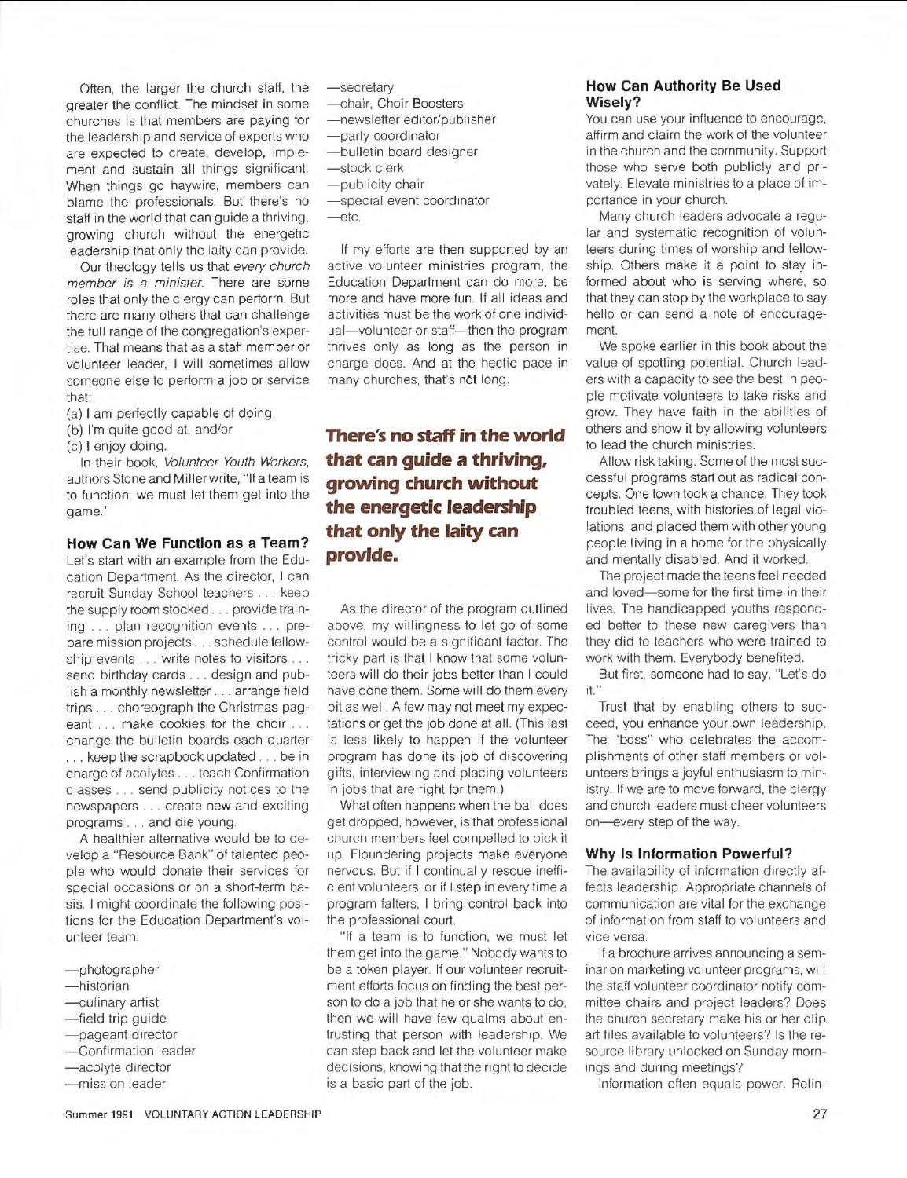Often, the larger the church staff, the greater the conflict. The mindset in some churches is that members are paying for the leadership and service of experts who are expected to create, develop, implement and sustain all things significant. When things go haywire, members can blame the professionals. But there's no staff in the world that can guide a thriving, growing church without the energetic leadership that only the laity can provide.

Our theology tells us that every church member is a minister. There are some roles that only the clergy can perform. But there are many others that can challenge the full range of the congregation's expertise. That means that as a staff member or volunteer leader, I will sometimes allow someone else to perform a job or service that:

- (a) I am perfectly capable of doing,
- (b) I'm quite good at, and/or
- (c) I enjoy doing.

In their book, Volunteer Youth Workers, authors Stone and Miller write, "If a team is to function, we must let them get into the game."

### **How Can We Function as a Team?**

Let's start with an example from the Education Department. As the director, I can recruit Sunday School teachers ... keep the supply room stocked ... provide training ... plan recognition events ... prepare mission projects ... schedule fellowship events . . . write notes to visitors . . . send birthday cards ... design and publish a monthly newsletter . . . arrange field trips ... choreograph the Christmas pageant ... make cookies for the choir ... change the bulletin boards each quarter ... keep the scrapbook updated ... be in charge of acolytes ... teach Confirmation classes ... send publicity notices to the newspapers ... create new and exciting programs ... and die young.

A healthier alternative would be to develop a "Resource Bank" of talented people who would donate their services for special occasions or on a short-term basis. I might coordinate the following positions for the Education Department's volunteer team:

- -photographer
- -historian
- -culinary artist
- -field trip guide
- -pageant director -Confirmation leader
- -acolyte director
- -mission leader
- -secretary
- -chair, Choir Boosters
- -newsletter editor/publisher
- -party coordinator
- -bulletin board designer
- -stock clerk
- -publicity chair
- -special event coordinator
- -etc.

If my efforts are then supported by an active volunteer ministries program, the Education Department can do more, be more and have more fun. If all ideas and activities must be the work of one individual-volunteer or staff-then the program thrives only as long as the person in charge does. And at the hectic pace in many churches, that's not long.

# **There's no staff in the world**  that can guide a thriving, **growing church without the energetic leadership that only the laity can provide.**

As the director of the program outlined above, my willingness to let go of some control would be a significant factor. The tricky part is that I know that some volunteers will do their jobs better than I could have done them. Some will do them every bit as well. A few may not meet my expectations or get the job done at all. (This last is less likely to happen if the volunteer program has done its job of discovering gifts, interviewing and placing volunteers in jobs that are right for them.)

What often happens when the ball does get dropped, however, is that professional church members feel compelled to pick it up. Floundering projects make everyone nervous. But if I continually rescue inefficient volunteers, or if I step in every time a program falters, I bring control back into the professional court.

"If a team is to function, we must let them get into the game." Nobody wants to be a token player. If our volunteer recruitment efforts focus on finding the best person to do a job that he or she wants to do, then we will have few qualms about entrusting that person with leadership. We can step back and let the volunteer make decisions, knowing that the right to decide is a basic part of the job.

#### **How Can Authority Be Used Wisely?**

You can use your influence to encourage, affirm and claim the work of the volunteer in the church and the community. Support those who serve both publicly and privately. Elevate ministries to a place of importance in your church.

Many church leaders advocate a regular and systematic recognition of volunteers during times of worship and fellowship. Others make it a point to stay informed about who is serving where, so that they can stop by the workplace to say hello or can send a note of encouragement.

We spoke earlier in this book about the value of spotting potential. Church leaders with a capacity to see the best in people motivate volunteers to take risks and grow. They have faith in the abilities of others and show it by allowing volunteers to lead the church ministries.

Allow risk taking. Some of the most successful programs start out as radical concepts. One town took a chance. They took troubled teens, with histories of legal violations, and placed them with other young people living in a home for the physically and mentally disabled. And it worked.

The project made the teens feel needed and loved-some for the first time in their lives. The handicapped youths responded better to these new caregivers than they did to teachers who were trained to work with them. Everybody benefited.

But first, someone had to say, "Let's do it."

Trust that by enabling others to succeed, you enhance your own leadership. The "boss" who celebrates the accomplishments of other staff members or volunteers brings a joyful enthusiasm to ministry. If we are to move forward, the clergy and church leaders must cheer volunteers on-every step of the way.

#### **Why Is Information Powerful?**

The availability of information directly affects leadership. Appropriate channels of communication are vital for the exchange of information from staff to volunteers and vice versa.

If a brochure arrives announcing a seminar on marketing volunteer programs, will the staff volunteer coordinator notify committee chairs and project leaders? Does the church secretary make his or her clip art files available to volunteers? Is the resource library unlocked on Sunday mornings and during meetings?

Information often equals power. Relin-